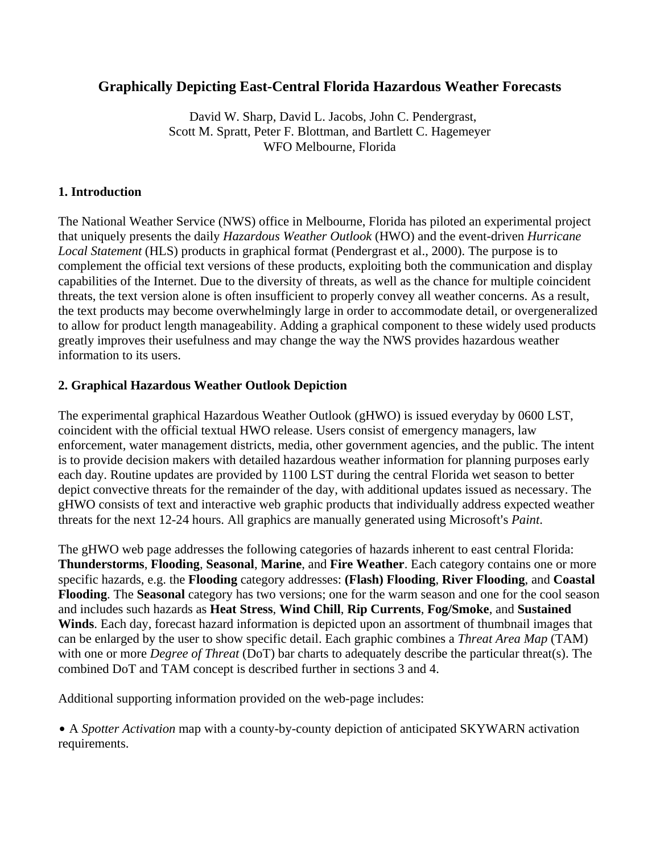# **Graphically Depicting East-Central Florida Hazardous Weather Forecasts**

 David W. Sharp, David L. Jacobs, John C. Pendergrast, Scott M. Spratt, Peter F. Blottman, and Bartlett C. Hagemeyer WFO Melbourne, Florida

#### **1. Introduction**

The National Weather Service (NWS) office in Melbourne, Florida has piloted an experimental project that uniquely presents the daily *Hazardous Weather Outlook* (HWO) and the event-driven *Hurricane Local Statement* (HLS) products in graphical format (Pendergrast et al., 2000). The purpose is to complement the official text versions of these products, exploiting both the communication and display capabilities of the Internet. Due to the diversity of threats, as well as the chance for multiple coincident threats, the text version alone is often insufficient to properly convey all weather concerns. As a result, the text products may become overwhelmingly large in order to accommodate detail, or overgeneralized to allow for product length manageability. Adding a graphical component to these widely used products greatly improves their usefulness and may change the way the NWS provides hazardous weather information to its users.

#### **2. Graphical Hazardous Weather Outlook Depiction**

The experimental graphical Hazardous Weather Outlook (gHWO) is issued everyday by 0600 LST, coincident with the official textual HWO release. Users consist of emergency managers, law enforcement, water management districts, media, other government agencies, and the public. The intent is to provide decision makers with detailed hazardous weather information for planning purposes early each day. Routine updates are provided by 1100 LST during the central Florida wet season to better depict convective threats for the remainder of the day, with additional updates issued as necessary. The gHWO consists of text and interactive web graphic products that individually address expected weather threats for the next 12-24 hours. All graphics are manually generated using Microsoft's *Paint*.

The gHWO web page addresses the following categories of hazards inherent to east central Florida: **Thunderstorms**, **Flooding**, **Seasonal**, **Marine**, and **Fire Weather**. Each category contains one or more specific hazards, e.g. the **Flooding** category addresses: **(Flash) Flooding**, **River Flooding**, and **Coastal Flooding**. The **Seasonal** category has two versions; one for the warm season and one for the cool season and includes such hazards as **Heat Stress**, **Wind Chill**, **Rip Currents**, **Fog/Smoke**, and **Sustained Winds**. Each day, forecast hazard information is depicted upon an assortment of thumbnail images that can be enlarged by the user to show specific detail. Each graphic combines a *Threat Area Map* (TAM) with one or more *Degree of Threat* (DoT) bar charts to adequately describe the particular threat(s). The combined DoT and TAM concept is described further in sections 3 and 4.

Additional supporting information provided on the web-page includes:

• A *Spotter Activation* map with a county-by-county depiction of anticipated SKYWARN activation requirements.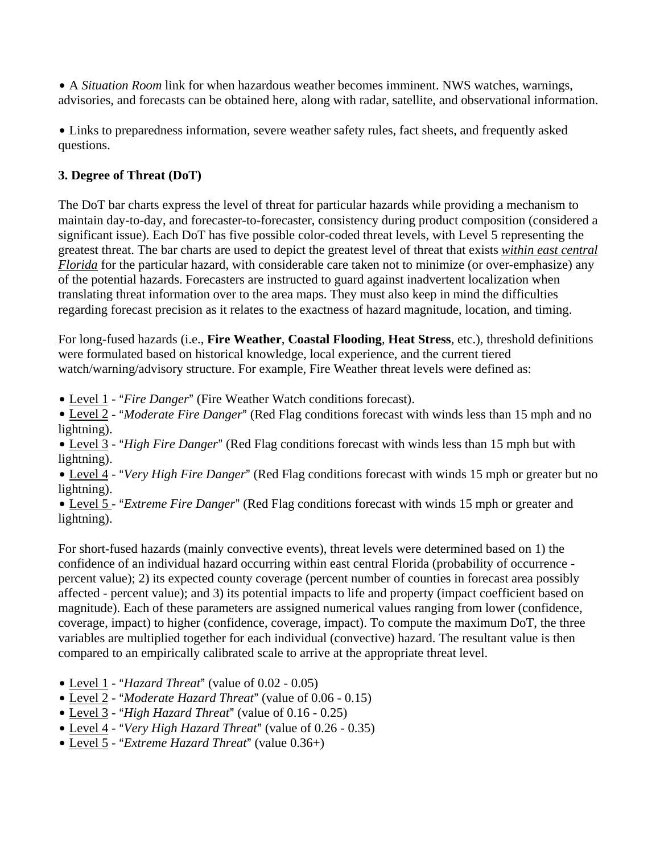• A *Situation Room* link for when hazardous weather becomes imminent. NWS watches, warnings, advisories, and forecasts can be obtained here, along with radar, satellite, and observational information.

• Links to preparedness information, severe weather safety rules, fact sheets, and frequently asked questions.

## **3. Degree of Threat (DoT)**

The DoT bar charts express the level of threat for particular hazards while providing a mechanism to maintain day-to-day, and forecaster-to-forecaster, consistency during product composition (considered a significant issue). Each DoT has five possible color-coded threat levels, with Level 5 representing the greatest threat. The bar charts are used to depict the greatest level of threat that exists *within east central Florida* for the particular hazard, with considerable care taken not to minimize (or over-emphasize) any of the potential hazards. Forecasters are instructed to guard against inadvertent localization when translating threat information over to the area maps. They must also keep in mind the difficulties regarding forecast precision as it relates to the exactness of hazard magnitude, location, and timing.

For long-fused hazards (i.e., **Fire Weather**, **Coastal Flooding**, **Heat Stress**, etc.), threshold definitions were formulated based on historical knowledge, local experience, and the current tiered watch/warning/advisory structure. For example, Fire Weather threat levels were defined as:

• Level 1 - "*Fire Danger*" (Fire Weather Watch conditions forecast).

• Level 2 - "*Moderate Fire Danger*" (Red Flag conditions forecast with winds less than 15 mph and no lightning).

• Level 3 - "High Fire Danger" (Red Flag conditions forecast with winds less than 15 mph but with lightning).

• Level 4 - "*Very High Fire Danger*" (Red Flag conditions forecast with winds 15 mph or greater but no lightning).

• Level 5 - "*Extreme Fire Danger*" (Red Flag conditions forecast with winds 15 mph or greater and lightning).

For short-fused hazards (mainly convective events), threat levels were determined based on 1) the confidence of an individual hazard occurring within east central Florida (probability of occurrence percent value); 2) its expected county coverage (percent number of counties in forecast area possibly affected - percent value); and 3) its potential impacts to life and property (impact coefficient based on magnitude). Each of these parameters are assigned numerical values ranging from lower (confidence, coverage, impact) to higher (confidence, coverage, impact). To compute the maximum DoT, the three variables are multiplied together for each individual (convective) hazard. The resultant value is then compared to an empirically calibrated scale to arrive at the appropriate threat level.

- $\bullet$  Level 1 "*Hazard Threat*" (value of 0.02 0.05)
- Level 2 "*Moderate Hazard Threat*" (value of 0.06 0.15)
- Level 3 "*High Hazard Threat*" (value of 0.16 0.25)
- Level 4 "Very High Hazard Threat" (value of 0.26 0.35)
- Level 5 "*Extreme Hazard Threat*" (value 0.36+)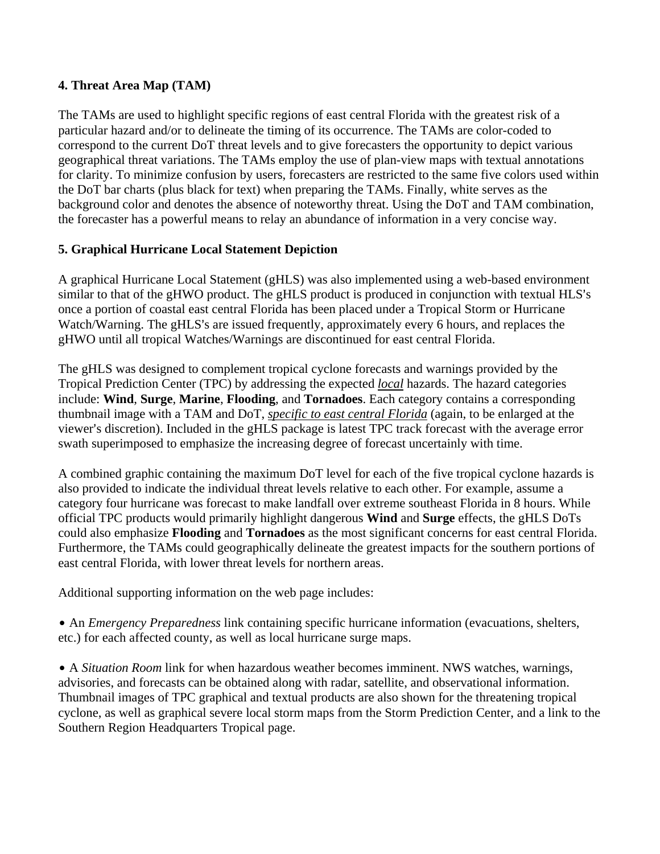### **4. Threat Area Map (TAM)**

The TAMs are used to highlight specific regions of east central Florida with the greatest risk of a particular hazard and/or to delineate the timing of its occurrence. The TAMs are color-coded to correspond to the current DoT threat levels and to give forecasters the opportunity to depict various geographical threat variations. The TAMs employ the use of plan-view maps with textual annotations for clarity. To minimize confusion by users, forecasters are restricted to the same five colors used within the DoT bar charts (plus black for text) when preparing the TAMs. Finally, white serves as the background color and denotes the absence of noteworthy threat. Using the DoT and TAM combination, the forecaster has a powerful means to relay an abundance of information in a very concise way.

## **5. Graphical Hurricane Local Statement Depiction**

A graphical Hurricane Local Statement (gHLS) was also implemented using a web-based environment similar to that of the gHWO product. The gHLS product is produced in conjunction with textual HLS's once a portion of coastal east central Florida has been placed under a Tropical Storm or Hurricane Watch/Warning. The gHLS's are issued frequently, approximately every 6 hours, and replaces the gHWO until all tropical Watches/Warnings are discontinued for east central Florida.

The gHLS was designed to complement tropical cyclone forecasts and warnings provided by the Tropical Prediction Center (TPC) by addressing the expected *local* hazards. The hazard categories include: **Wind**, **Surge**, **Marine**, **Flooding**, and **Tornadoes**. Each category contains a corresponding thumbnail image with a TAM and DoT, *specific to east central Florida* (again, to be enlarged at the viewer's discretion). Included in the gHLS package is latest TPC track forecast with the average error swath superimposed to emphasize the increasing degree of forecast uncertainly with time.

A combined graphic containing the maximum DoT level for each of the five tropical cyclone hazards is also provided to indicate the individual threat levels relative to each other. For example, assume a category four hurricane was forecast to make landfall over extreme southeast Florida in 8 hours. While official TPC products would primarily highlight dangerous **Wind** and **Surge** effects, the gHLS DoTs could also emphasize **Flooding** and **Tornadoes** as the most significant concerns for east central Florida. Furthermore, the TAMs could geographically delineate the greatest impacts for the southern portions of east central Florida, with lower threat levels for northern areas.

Additional supporting information on the web page includes:

• An *Emergency Preparedness* link containing specific hurricane information (evacuations, shelters, etc.) for each affected county, as well as local hurricane surge maps.

• A *Situation Room* link for when hazardous weather becomes imminent. NWS watches, warnings, advisories, and forecasts can be obtained along with radar, satellite, and observational information. Thumbnail images of TPC graphical and textual products are also shown for the threatening tropical cyclone, as well as graphical severe local storm maps from the Storm Prediction Center, and a link to the Southern Region Headquarters Tropical page.